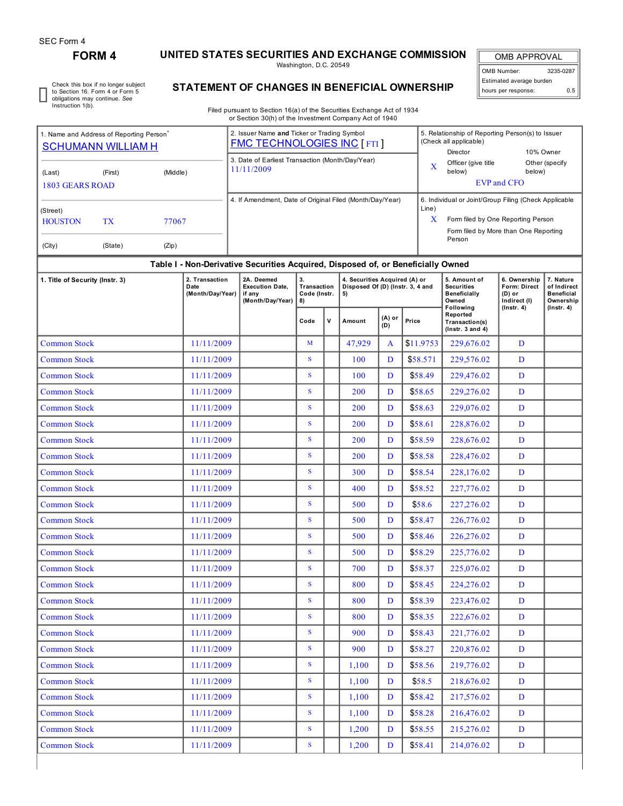# **FORM 4 UNITED STATES SECURITIES AND EXCHANGE COMMISSION**

Washington, D.C. 20549

OMB APPROVAL OMB Number: 3235-0287 Estimated average burden hours per response: 0.5

Check this box if no longer subject to Section 16. Form 4 or Form 5 obligations may continue. *See* Instruction 1(b).

## **STATEMENT OF CHANGES IN BENEFICIAL OWNERSHIP**

Filed pursuant to Section 16(a) of the Securities Exchange Act of 1934 or Section 30(h) of the Investment Company Act of 1940

| 1. Name and Address of Reporting Person<br><b>SCHUMANN WILLIAM H</b> |           |          |                                            | 2. Issuer Name and Ticker or Trading Symbol<br><b>FMC TECHNOLOGIES INC [FTI]</b> |                                                                                  |                                         |  |                                                                         |                    |                                    |                                       | 5. Relationship of Reporting Person(s) to Issuer<br>(Check all applicable)<br>Director<br>10% Owner |                                                        |                                                            |  |
|----------------------------------------------------------------------|-----------|----------|--------------------------------------------|----------------------------------------------------------------------------------|----------------------------------------------------------------------------------|-----------------------------------------|--|-------------------------------------------------------------------------|--------------------|------------------------------------|---------------------------------------|-----------------------------------------------------------------------------------------------------|--------------------------------------------------------|------------------------------------------------------------|--|
| (Last)                                                               | (First)   | (Middle) |                                            |                                                                                  | 3. Date of Earliest Transaction (Month/Day/Year)<br>11/11/2009                   |                                         |  |                                                                         | X                  | Officer (give title<br>below)      | Other (specify<br>below)              |                                                                                                     |                                                        |                                                            |  |
| <b>1803 GEARS ROAD</b>                                               |           |          |                                            |                                                                                  |                                                                                  |                                         |  |                                                                         | <b>EVP</b> and CFO |                                    |                                       |                                                                                                     |                                                        |                                                            |  |
| (Street)                                                             |           |          |                                            | 4. If Amendment, Date of Original Filed (Month/Day/Year)                         |                                                                                  |                                         |  | 6. Individual or Joint/Group Filing (Check Applicable<br>Line)          |                    |                                    |                                       |                                                                                                     |                                                        |                                                            |  |
| <b>HOUSTON</b>                                                       | <b>TX</b> | 77067    |                                            |                                                                                  |                                                                                  |                                         |  |                                                                         | X                  | Form filed by One Reporting Person |                                       |                                                                                                     |                                                        |                                                            |  |
| (City)                                                               | (State)   | (Zip)    |                                            |                                                                                  |                                                                                  |                                         |  |                                                                         |                    | Person                             | Form filed by More than One Reporting |                                                                                                     |                                                        |                                                            |  |
|                                                                      |           |          |                                            |                                                                                  | Table I - Non-Derivative Securities Acquired, Disposed of, or Beneficially Owned |                                         |  |                                                                         |                    |                                    |                                       |                                                                                                     |                                                        |                                                            |  |
| 1. Title of Security (Instr. 3)                                      |           |          | 2. Transaction<br>Date<br>(Month/Day/Year) |                                                                                  | 2A. Deemed<br><b>Execution Date,</b><br>if any<br>(Month/Day/Year)               | 3.<br>Transaction<br>Code (Instr.<br>8) |  | 4. Securities Acquired (A) or<br>Disposed Of (D) (Instr. 3, 4 and<br>5) |                    |                                    |                                       | 5. Amount of<br><b>Securities</b><br><b>Beneficially</b><br>Owned                                   | 6. Ownership<br>Form: Direct<br>(D) or<br>Indirect (I) | 7. Nature<br>of Indirect<br><b>Beneficial</b><br>Ownership |  |
|                                                                      |           |          |                                            |                                                                                  |                                                                                  | V<br>Code                               |  | (A) or<br>Amount<br>(D)                                                 |                    | Price                              |                                       | Following<br>Reported<br>Transaction(s)<br>$($ Instr. 3 and 4 $)$                                   | $($ Instr. 4 $)$                                       | $($ Instr. 4 $)$                                           |  |
| <b>Common Stock</b>                                                  |           |          | 11/11/2009                                 |                                                                                  |                                                                                  | M                                       |  | 47.929                                                                  | $\mathbf{A}$       |                                    | \$11.9753                             | 229,676.02                                                                                          | D                                                      |                                                            |  |
| <b>Common Stock</b>                                                  |           |          | 11/11/2009                                 |                                                                                  |                                                                                  | ${\bf S}$                               |  | <b>100</b>                                                              | D                  |                                    | \$58.571                              | 229,576.02                                                                                          | D                                                      |                                                            |  |
| <b>Common Stock</b>                                                  |           |          | 11/11/2009                                 |                                                                                  |                                                                                  | $\mathbf{s}$                            |  | 100                                                                     | D                  |                                    | \$58.49                               | 229,476.02                                                                                          | D                                                      |                                                            |  |
| <b>Common Stock</b>                                                  |           |          | 11/11/2009                                 |                                                                                  |                                                                                  | $\mathbf{s}$                            |  | 200                                                                     | D                  |                                    | \$58.65                               | 229,276.02                                                                                          | D                                                      |                                                            |  |
| <b>Common Stock</b>                                                  |           |          | 11/11/2009                                 |                                                                                  |                                                                                  | $\mathbf{s}$                            |  | <b>200</b>                                                              | D                  |                                    | \$58.63                               | 229,076.02                                                                                          | $\mathbf D$                                            |                                                            |  |
| <b>Common Stock</b>                                                  |           |          | 11/11/2009                                 |                                                                                  |                                                                                  | $\mathbf{s}$                            |  | 200                                                                     | D                  |                                    | \$58.61                               | 228,876.02                                                                                          | D                                                      |                                                            |  |
| <b>Common Stock</b>                                                  |           |          | 11/11/2009                                 |                                                                                  |                                                                                  | $\mathbf{s}$                            |  | <b>200</b>                                                              | D                  |                                    | \$58.59                               | 228,676.02                                                                                          | D                                                      |                                                            |  |
| <b>Common Stock</b>                                                  |           |          | 11/11/2009                                 |                                                                                  |                                                                                  | $\mathbf{s}$                            |  | 200                                                                     | D                  |                                    | \$58.58                               | 228,476.02                                                                                          | D                                                      |                                                            |  |
| <b>Common Stock</b>                                                  |           |          | 11/11/2009                                 |                                                                                  |                                                                                  | ${\bf S}$                               |  | 300                                                                     | D                  |                                    | \$58.54                               | 228,176.02                                                                                          | D                                                      |                                                            |  |
| <b>Common Stock</b>                                                  |           |          | 11/11/2009                                 |                                                                                  |                                                                                  | $\mathbf{s}$                            |  | 400                                                                     | D                  |                                    | \$58.52                               | 227,776.02                                                                                          | D                                                      |                                                            |  |
| <b>Common Stock</b>                                                  |           |          | 11/11/2009                                 |                                                                                  |                                                                                  | S                                       |  | 500                                                                     | D                  |                                    | \$58.6                                | 227,276.02                                                                                          | D                                                      |                                                            |  |
| <b>Common Stock</b>                                                  |           |          | 11/11/2009                                 |                                                                                  |                                                                                  | S                                       |  | 500                                                                     | D                  |                                    | \$58.47                               | 226,776.02                                                                                          | D                                                      |                                                            |  |
| <b>Common Stock</b>                                                  |           |          | 11/11/2009                                 |                                                                                  |                                                                                  | ${\bf S}$                               |  | 500                                                                     | D                  |                                    | \$58.46                               | 226,276.02                                                                                          | D                                                      |                                                            |  |
| <b>Common Stock</b>                                                  |           |          | 11/11/2009                                 |                                                                                  |                                                                                  | $\mathbf{s}$                            |  | 500                                                                     | D                  |                                    | \$58.29                               | 225,776.02                                                                                          | D                                                      |                                                            |  |
| <b>Common Stock</b>                                                  |           |          | 11/11/2009                                 |                                                                                  |                                                                                  | S                                       |  | 700                                                                     | D                  |                                    | \$58.37                               | 225,076.02                                                                                          | D                                                      |                                                            |  |
| <b>Common Stock</b>                                                  |           |          | 11/11/2009                                 |                                                                                  |                                                                                  | S                                       |  | 800                                                                     | D                  |                                    | \$58.45                               | 224,276.02                                                                                          | D                                                      |                                                            |  |
| <b>Common Stock</b>                                                  |           |          | 11/11/2009                                 |                                                                                  |                                                                                  | S                                       |  | 800                                                                     | D                  |                                    | \$58.39                               | 223,476.02                                                                                          | D                                                      |                                                            |  |
| <b>Common Stock</b>                                                  |           |          | 11/11/2009                                 |                                                                                  |                                                                                  | S                                       |  | 800                                                                     | D                  |                                    | \$58.35                               | 222,676.02                                                                                          | D                                                      |                                                            |  |
| <b>Common Stock</b>                                                  |           |          | 11/11/2009                                 |                                                                                  |                                                                                  | S                                       |  | 900                                                                     | D                  |                                    | \$58.43                               | 221,776.02                                                                                          | D                                                      |                                                            |  |
| <b>Common Stock</b>                                                  |           |          | 11/11/2009                                 |                                                                                  |                                                                                  | $\mathbf{s}$                            |  | 900                                                                     | D                  |                                    | \$58.27                               | 220,876.02                                                                                          | D                                                      |                                                            |  |
| <b>Common Stock</b>                                                  |           |          | 11/11/2009                                 |                                                                                  |                                                                                  | ${\bf S}$                               |  | 1,100                                                                   | D                  |                                    | \$58.56                               | 219,776.02                                                                                          | D                                                      |                                                            |  |
| <b>Common Stock</b>                                                  |           |          | 11/11/2009                                 |                                                                                  |                                                                                  | S                                       |  | 1,100                                                                   | D                  |                                    | \$58.5                                | 218,676.02                                                                                          | D                                                      |                                                            |  |
| <b>Common Stock</b>                                                  |           |          | 11/11/2009                                 |                                                                                  |                                                                                  | ${\bf S}$                               |  | 1,100                                                                   | D                  |                                    | \$58.42                               | 217,576.02                                                                                          | D                                                      |                                                            |  |
| <b>Common Stock</b>                                                  |           |          | 11/11/2009                                 |                                                                                  |                                                                                  | S                                       |  | 1,100                                                                   | D                  |                                    | \$58.28                               | 216,476.02                                                                                          | D                                                      |                                                            |  |
| <b>Common Stock</b>                                                  |           |          | 11/11/2009                                 |                                                                                  |                                                                                  | ${\bf S}$                               |  | 1,200                                                                   | D                  |                                    | \$58.55                               | 215,276.02                                                                                          | D                                                      |                                                            |  |
| <b>Common Stock</b>                                                  |           |          | 11/11/2009                                 |                                                                                  |                                                                                  | ${\bf S}$                               |  | 1,200                                                                   | D                  |                                    | \$58.41                               | 214,076.02                                                                                          | D                                                      |                                                            |  |